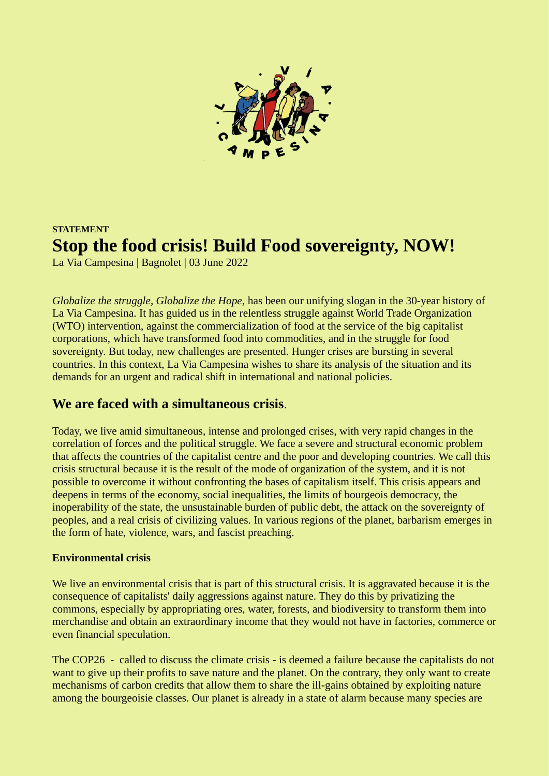

# **STATEMENT Stop the food crisis! Build Food sovereignty, NOW!**

La Via Campesina | Bagnolet | 03 June 2022

*Globalize the struggle, Globalize the Hope*, has been our unifying slogan in the 30-year history of La Via Campesina. It has guided us in the relentless struggle against World Trade Organization (WTO) intervention, against the commercialization of food at the service of the big capitalist corporations, which have transformed food into commodities, and in the struggle for food sovereignty. But today, new challenges are presented. Hunger crises are bursting in several countries. In this context, La Via Campesina wishes to share its analysis of the situation and its demands for an urgent and radical shift in international and national policies.

## **We are faced with a simultaneous crisis**.

Today, we live amid simultaneous, intense and prolonged crises, with very rapid changes in the correlation of forces and the political struggle. We face a severe and structural economic problem that affects the countries of the capitalist centre and the poor and developing countries. We call this crisis structural because it is the result of the mode of organization of the system, and it is not possible to overcome it without confronting the bases of capitalism itself. This crisis appears and deepens in terms of the economy, social inequalities, the limits of bourgeois democracy, the inoperability of the state, the unsustainable burden of public debt, the attack on the sovereignty of peoples, and a real crisis of civilizing values. In various regions of the planet, barbarism emerges in the form of hate, violence, wars, and fascist preaching.

#### **Environmental crisis**

We live an environmental crisis that is part of this structural crisis. It is aggravated because it is the consequence of capitalists' daily aggressions against nature. They do this by privatizing the commons, especially by appropriating ores, water, forests, and biodiversity to transform them into merchandise and obtain an extraordinary income that they would not have in factories, commerce or even financial speculation.

The COP26 - called to discuss the climate crisis - is deemed a failure because the capitalists do not want to give up their profits to save nature and the planet. On the contrary, they only want to create mechanisms of carbon credits that allow them to share the ill-gains obtained by exploiting nature among the bourgeoisie classes. Our planet is already in a state of alarm because many species are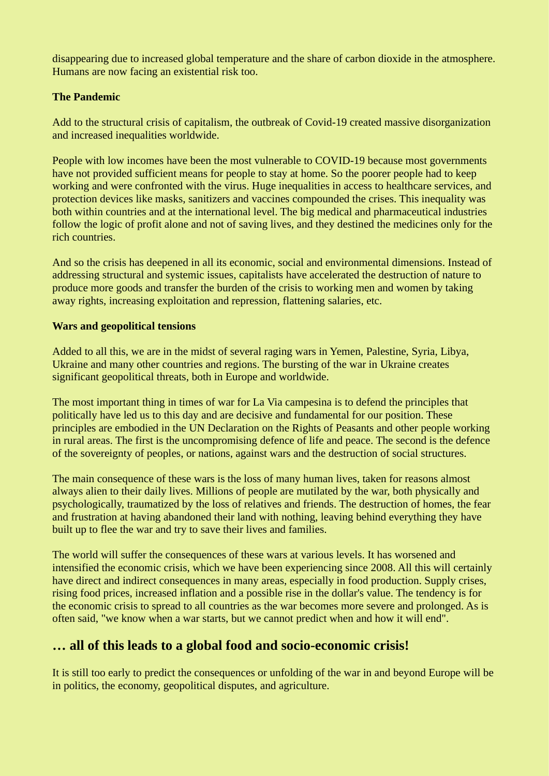disappearing due to increased global temperature and the share of carbon dioxide in the atmosphere. Humans are now facing an existential risk too.

#### **The Pandemic**

Add to the structural crisis of capitalism, the outbreak of Covid-19 created massive disorganization and increased inequalities worldwide.

People with low incomes have been the most vulnerable to COVID-19 because most governments have not provided sufficient means for people to stay at home. So the poorer people had to keep working and were confronted with the virus. Huge inequalities in access to healthcare services, and protection devices like masks, sanitizers and vaccines compounded the crises. This inequality was both within countries and at the international level. The big medical and pharmaceutical industries follow the logic of profit alone and not of saving lives, and they destined the medicines only for the rich countries.

And so the crisis has deepened in all its economic, social and environmental dimensions. Instead of addressing structural and systemic issues, capitalists have accelerated the destruction of nature to produce more goods and transfer the burden of the crisis to working men and women by taking away rights, increasing exploitation and repression, flattening salaries, etc.

#### **Wars and geopolitical tensions**

Added to all this, we are in the midst of several raging wars in Yemen, Palestine, Syria, Libya, Ukraine and many other countries and regions. The bursting of the war in Ukraine creates significant geopolitical threats, both in Europe and worldwide.

The most important thing in times of war for La Via campesina is to defend the principles that politically have led us to this day and are decisive and fundamental for our position. These principles are embodied in the UN Declaration on the Rights of Peasants and other people working in rural areas. The first is the uncompromising defence of life and peace. The second is the defence of the sovereignty of peoples, or nations, against wars and the destruction of social structures.

The main consequence of these wars is the loss of many human lives, taken for reasons almost always alien to their daily lives. Millions of people are mutilated by the war, both physically and psychologically, traumatized by the loss of relatives and friends. The destruction of homes, the fear and frustration at having abandoned their land with nothing, leaving behind everything they have built up to flee the war and try to save their lives and families.

The world will suffer the consequences of these wars at various levels. It has worsened and intensified the economic crisis, which we have been experiencing since 2008. All this will certainly have direct and indirect consequences in many areas, especially in food production. Supply crises, rising food prices, increased inflation and a possible rise in the dollar's value. The tendency is for the economic crisis to spread to all countries as the war becomes more severe and prolonged. As is often said, "we know when a war starts, but we cannot predict when and how it will end".

## **… all of this leads to a global food and socio-economic crisis!**

It is still too early to predict the consequences or unfolding of the war in and beyond Europe will be in politics, the economy, geopolitical disputes, and agriculture.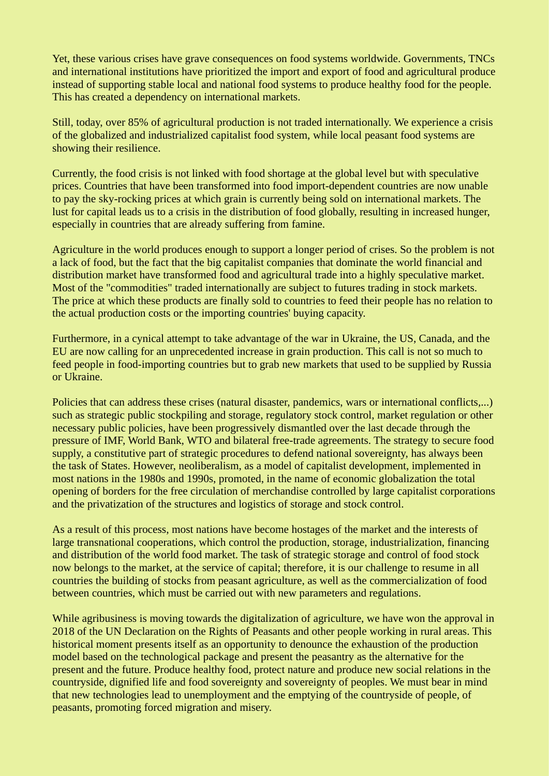Yet, these various crises have grave consequences on food systems worldwide. Governments, TNCs and international institutions have prioritized the import and export of food and agricultural produce instead of supporting stable local and national food systems to produce healthy food for the people. This has created a dependency on international markets.

Still, today, over 85% of agricultural production is not traded internationally. We experience a crisis of the globalized and industrialized capitalist food system, while local peasant food systems are showing their resilience.

Currently, the food crisis is not linked with food shortage at the global level but with speculative prices. Countries that have been transformed into food import-dependent countries are now unable to pay the sky-rocking prices at which grain is currently being sold on international markets. The lust for capital leads us to a crisis in the distribution of food globally, resulting in increased hunger, especially in countries that are already suffering from famine.

Agriculture in the world produces enough to support a longer period of crises. So the problem is not a lack of food, but the fact that the big capitalist companies that dominate the world financial and distribution market have transformed food and agricultural trade into a highly speculative market. Most of the "commodities" traded internationally are subject to futures trading in stock markets. The price at which these products are finally sold to countries to feed their people has no relation to the actual production costs or the importing countries' buying capacity.

Furthermore, in a cynical attempt to take advantage of the war in Ukraine, the US, Canada, and the EU are now calling for an unprecedented increase in grain production. This call is not so much to feed people in food-importing countries but to grab new markets that used to be supplied by Russia or Ukraine.

Policies that can address these crises (natural disaster, pandemics, wars or international conflicts,...) such as strategic public stockpiling and storage, regulatory stock control, market regulation or other necessary public policies, have been progressively dismantled over the last decade through the pressure of IMF, World Bank, WTO and bilateral free-trade agreements. The strategy to secure food supply, a constitutive part of strategic procedures to defend national sovereignty, has always been the task of States. However, neoliberalism, as a model of capitalist development, implemented in most nations in the 1980s and 1990s, promoted, in the name of economic globalization the total opening of borders for the free circulation of merchandise controlled by large capitalist corporations and the privatization of the structures and logistics of storage and stock control.

As a result of this process, most nations have become hostages of the market and the interests of large transnational cooperations, which control the production, storage, industrialization, financing and distribution of the world food market. The task of strategic storage and control of food stock now belongs to the market, at the service of capital; therefore, it is our challenge to resume in all countries the building of stocks from peasant agriculture, as well as the commercialization of food between countries, which must be carried out with new parameters and regulations.

While agribusiness is moving towards the digitalization of agriculture, we have won the approval in 2018 of the UN Declaration on the Rights of Peasants and other people working in rural areas. This historical moment presents itself as an opportunity to denounce the exhaustion of the production model based on the technological package and present the peasantry as the alternative for the present and the future. Produce healthy food, protect nature and produce new social relations in the countryside, dignified life and food sovereignty and sovereignty of peoples. We must bear in mind that new technologies lead to unemployment and the emptying of the countryside of people, of peasants, promoting forced migration and misery.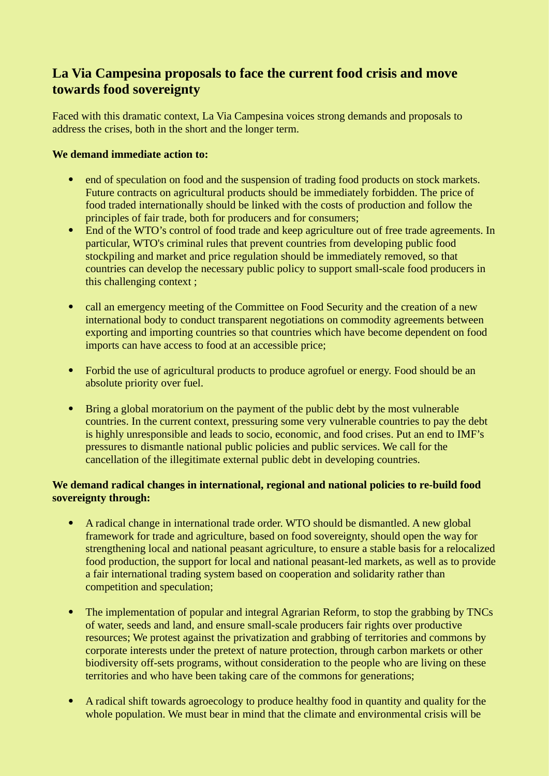## **La Via Campesina proposals to face the current food crisis and move towards food sovereignty**

Faced with this dramatic context, La Via Campesina voices strong demands and proposals to address the crises, both in the short and the longer term.

#### **We demand immediate action to:**

- end of speculation on food and the suspension of trading food products on stock markets. Future contracts on agricultural products should be immediately forbidden. The price of food traded internationally should be linked with the costs of production and follow the principles of fair trade, both for producers and for consumers;
- End of the WTO's control of food trade and keep agriculture out of free trade agreements. In particular, WTO's criminal rules that prevent countries from developing public food stockpiling and market and price regulation should be immediately removed, so that countries can develop the necessary public policy to support small-scale food producers in this challenging context ;
- call an emergency meeting of the Committee on Food Security and the creation of a new international body to conduct transparent negotiations on commodity agreements between exporting and importing countries so that countries which have become dependent on food imports can have access to food at an accessible price;
- Forbid the use of agricultural products to produce agrofuel or energy. Food should be an absolute priority over fuel.
- Bring a global moratorium on the payment of the public debt by the most vulnerable countries. In the current context, pressuring some very vulnerable countries to pay the debt is highly unresponsible and leads to socio, economic, and food crises. Put an end to IMF's pressures to dismantle national public policies and public services. We call for the cancellation of the illegitimate external public debt in developing countries.

#### **We demand radical changes in international, regional and national policies to re-build food sovereignty through:**

- A radical change in international trade order. WTO should be dismantled. A new global framework for trade and agriculture, based on food sovereignty, should open the way for strengthening local and national peasant agriculture, to ensure a stable basis for a relocalized food production, the support for local and national peasant-led markets, as well as to provide a fair international trading system based on cooperation and solidarity rather than competition and speculation;
- The implementation of popular and integral Agrarian Reform, to stop the grabbing by TNCs of water, seeds and land, and ensure small-scale producers fair rights over productive resources; We protest against the privatization and grabbing of territories and commons by corporate interests under the pretext of nature protection, through carbon markets or other biodiversity off-sets programs, without consideration to the people who are living on these territories and who have been taking care of the commons for generations;
- A radical shift towards agroecology to produce healthy food in quantity and quality for the whole population. We must bear in mind that the climate and environmental crisis will be